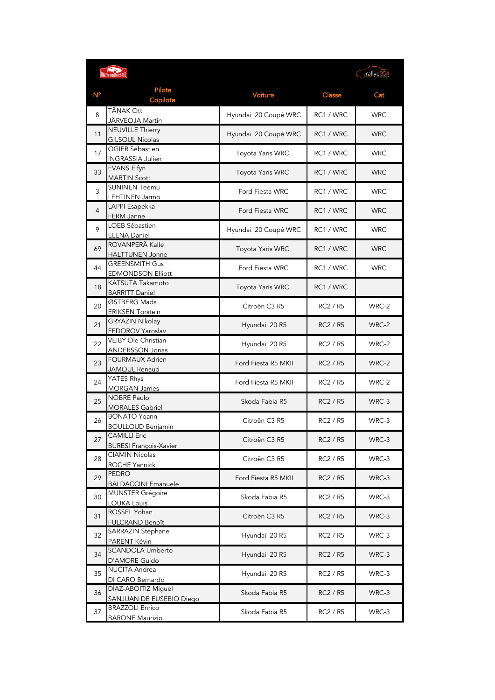|                | <b>RALLYE MONTE-CARLO</b>                      |                       |                 | Figure 154 |
|----------------|------------------------------------------------|-----------------------|-----------------|------------|
| $N^{\circ}$    | Pilote<br>Copilote                             | Voiture               | <b>Classe</b>   | Cat        |
| 8              | TÄNAK Ott                                      | Hyundai i20 Coupé WRC | RC1 / WRC       | <b>WRC</b> |
|                | JÄRVEOJA Martin                                |                       |                 |            |
| 11             | <b>NEUVILLE Thierry</b>                        | Hyundai i20 Coupé WRC | RC1 / WRC       | <b>WRC</b> |
|                | <b>GILSOUL Nicolas</b>                         |                       |                 |            |
| 17             | OGIER Sébastien                                | Toyota Yaris WRC      | RC1 / WRC       | <b>WRC</b> |
|                | <b>INGRASSIA Julien</b>                        |                       |                 |            |
| 33             | <b>EVANS Elfyn</b>                             | Toyota Yaris WRC      | RC1 / WRC       | <b>WRC</b> |
|                | <b>MARTIN Scott</b><br><b>SUNINEN Teemu</b>    |                       |                 |            |
| 3              | LEHTINEN Jarmo                                 | Ford Fiesta WRC       | RC1 / WRC       | <b>WRC</b> |
|                | LAPPI Esapekka                                 |                       |                 |            |
| $\overline{4}$ | FERM Janne                                     | Ford Fiesta WRC       | RC1 / WRC       | <b>WRC</b> |
|                | <b>LOEB Sébastien</b>                          |                       |                 |            |
| 9              | <b>ELENA Daniel</b>                            | Hyundai i20 Coupé WRC | RC1 / WRC       | <b>WRC</b> |
| 69             | ROVANPERÄ Kalle                                |                       |                 |            |
|                | <b>HALTTUNEN Jonne</b>                         | Toyota Yaris WRC      | RC1 / WRC       | <b>WRC</b> |
| 44             | <b>GREENSMITH Gus</b>                          | Ford Fiesta WRC       | RC1 / WRC       | <b>WRC</b> |
|                | <b>EDMONDSON Elliott</b>                       |                       |                 |            |
| 18             | KATSUTA Takamoto                               | Toyota Yaris WRC      | RC1 / WRC       |            |
|                | <b>BARRITT Daniel</b>                          |                       |                 |            |
| 20             | ØSTBERG Mads                                   | Citroën C3 R5         | RC2 / R5        | WRC-2      |
|                | <b>ERIKSEN Torstein</b>                        |                       |                 |            |
| 21             | <b>GRYAZIN Nikolay</b>                         | Hyundai i20 R5        | <b>RC2 / R5</b> | WRC-2      |
|                | FEDOROV Yaroslav<br><b>VEIBY Ole Christian</b> |                       |                 |            |
| 22             |                                                | Hyundai i20 R5        | RC2 / R5        | WRC-2      |
|                | ANDERSSON Jonas<br><b>FOURMAUX Adrien</b>      |                       |                 |            |
| 23             | JAMOUL Renaud                                  | Ford Fiesta R5 MKII   | <b>RC2 / R5</b> | WRC-2      |
|                | YATES Rhys                                     |                       |                 |            |
| 24             | <b>MORGAN James</b>                            | Ford Fiesta R5 MKII   | <b>RC2 / R5</b> | WRC-2      |
|                | <b>NOBRE Paulo</b>                             |                       |                 |            |
| 25             | <b>MORALES Gabriel</b>                         | Skoda Fabia R5        | <b>RC2 / R5</b> | WRC-3      |
| 26             | <b>BONATO Yoann</b>                            | Citroën C3 R5         | <b>RC2 / R5</b> | WRC-3      |
|                | ROULLOUD Benjamin                              |                       |                 |            |
| 27             | <b>CAMILLI Eric</b>                            | Citroën C3 R5         | <b>RC2 / R5</b> | WRC-3      |
|                | <b>BURESI François-Xavier</b>                  |                       |                 |            |
| 28             | <b>CIAMIN Nicolas</b>                          | Citroën C3 R5         | RC2 / R5        | WRC-3      |
|                | ROCHE Yannick                                  |                       |                 |            |
| 29             | <b>PEDRO</b>                                   | Ford Fiesta R5 MKII   | RC2 / R5        | WRC-3      |
|                | <b>BALDACCINI Emanuele</b>                     |                       |                 |            |
| 30             | <b>MUNSTER Grégoire</b><br><b>LOUKA Louis</b>  | Skoda Fabia R5        | RC2 / R5        | WRC-3      |
|                | ROSSEL Yohan                                   |                       |                 |            |
| 31             | <b>FULCRAND Benoît</b>                         | Citroën C3 R5         | <b>RC2 / R5</b> | WRC-3      |
|                | SARRAZIN Stéphane                              |                       |                 |            |
| 32             | PARENT Kévin                                   | Hyundai i20 R5        | RC2 / R5        | WRC-3      |
|                | <b>SCANDOLA Umberto</b>                        |                       |                 |            |
| 34             | D'AMORE Guido                                  | Hyundai i20 R5        | RC2 / R5        | WRC-3      |
| 35             | NUCITA Andrea                                  | Hyundai i20 R5        | RC2 / R5        | WRC-3      |
|                | DI CARO Bernardo                               |                       |                 |            |
| 36             | DÍAZ-ABOITIZ Miguel                            | Skoda Fabia R5        | RC2 / R5        | WRC-3      |
|                | SANJUAN DE EUSEBIO Diego                       |                       |                 |            |
| 37             | <b>BRAZZOLI Enrico</b>                         | Skoda Fabia R5        | RC2 / R5        | WRC-3      |
|                | <b>BARONE Maurizio</b>                         |                       |                 |            |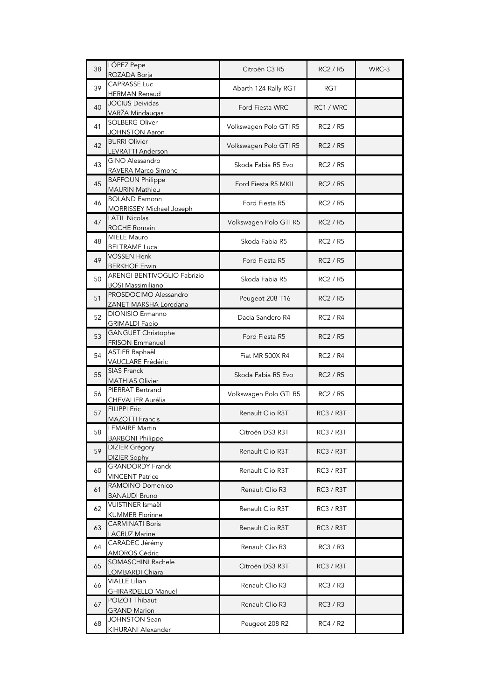| 38 | LÓPEZ Pepe<br>ROZADA Borja                              | Citroën C3 R5          | <b>RC2 / R5</b>  | WRC-3 |
|----|---------------------------------------------------------|------------------------|------------------|-------|
| 39 | <b>CAPRASSE Luc</b><br>HERMAN Renaud                    | Abarth 124 Rally RGT   | <b>RGT</b>       |       |
| 40 | <b>JOCIUS Deividas</b><br>VARŽA Mindaugas               | Ford Fiesta WRC        | RC1 / WRC        |       |
| 41 | <b>SOLBERG Oliver</b><br><b>JOHNSTON Aaron</b>          | Volkswagen Polo GTI R5 | RC2 / R5         |       |
| 42 | <b>BURRI Olivier</b><br>LEVRATTI Anderson               | Volkswagen Polo GTI R5 | <b>RC2 / R5</b>  |       |
| 43 | <b>GINO Alessandro</b><br>RAVERA Marco Simone           | Skoda Fabia R5 Evo     | RC2 / R5         |       |
| 45 | <b>BAFFOUN Philippe</b><br><b>MAURIN Mathieu</b>        | Ford Fiesta R5 MKII    | RC2 / R5         |       |
| 46 | <b>BOLAND Eamonn</b><br><b>MORRISSEY Michael Joseph</b> | Ford Fiesta R5         | RC2 / R5         |       |
| 47 | <b>LATIL Nicolas</b><br>ROCHE Romain                    | Volkswagen Polo GTI R5 | <b>RC2 / R5</b>  |       |
| 48 | <b>MIELE Mauro</b><br><b>BELTRAME Luca</b>              | Skoda Fabia R5         | <b>RC2 / R5</b>  |       |
| 49 | <b>VOSSEN Henk</b><br><b>BERKHOF Erwin</b>              | Ford Fiesta R5         | <b>RC2 / R5</b>  |       |
| 50 | ARENGI BENTIVOGLIO Fabrizio<br><b>BOSI Massimiliano</b> | Skoda Fabia R5         | <b>RC2 / R5</b>  |       |
| 51 | PROSDOCIMO Alessandro<br>ZANET MARSHA Loredana          | Peugeot 208 T16        | <b>RC2 / R5</b>  |       |
| 52 | DIONISIO Ermanno<br><b>GRIMALDI Fabio</b>               | Dacia Sandero R4       | RC2 / R4         |       |
| 53 | <b>GANGUET Christophe</b><br><b>FRISON Emmanuel</b>     | Ford Fiesta R5         | <b>RC2 / R5</b>  |       |
| 54 | ASTIER Raphaël<br>VAUCLARE Frédéric                     | Fiat MR 500X R4        | <b>RC2 / R4</b>  |       |
| 55 | SIAS Franck<br><b>MATHIAS Olivier</b>                   | Skoda Fabia R5 Evo     | <b>RC2 / R5</b>  |       |
| 56 | PIERRAT Bertrand<br>CHEVALIER Aurélia                   | Volkswagen Polo GTI R5 | RC2 / R5         |       |
| 57 | <b>FILIPPI Eric</b><br><b>MAZOTTI Francis</b>           | Renault Clio R3T       | <b>RC3 / R3T</b> |       |
| 58 | <b>LEMAIRE Martin</b><br><b>BARBONI Philippe</b>        | Citroën DS3 R3T        | RC3 / R3T        |       |
| 59 | <b>DIZIER Grégory</b><br><b>DIZIER Sophy</b>            | Renault Clio R3T       | RC3 / R3T        |       |
| 60 | <b>GRANDORDY Franck</b><br><b>VINCENT Patrice</b>       | Renault Clio R3T       | RC3 / R3T        |       |
| 61 | RAMOINO Domenico<br><b>BANAUDI Bruno</b>                | Renault Clio R3        | <b>RC3 / R3T</b> |       |
| 62 | <b>VUISTINER Ismaël</b><br><b>KUMMER Florinne</b>       | Renault Clio R3T       | RC3 / R3T        |       |
| 63 | <b>CARMINATI Boris</b><br><b>LACRUZ Marine</b>          | Renault Clio R3T       | <b>RC3 / R3T</b> |       |
| 64 | CARADEC Jérémy<br><b>AMOROS Cédric</b>                  | Renault Clio R3        | RC3 / R3         |       |
| 65 | SOMASCHINI Rachele<br>LOMBARDI Chiara                   | Citroën DS3 R3T        | <b>RC3 / R3T</b> |       |
| 66 | <b>VIALLE Lilian</b><br><b>GHIRARDELLO Manuel</b>       | Renault Clio R3        | RC3 / R3         |       |
| 67 | POIZOT Thibaut<br><b>GRAND Marion</b>                   | Renault Clio R3        | RC3 / R3         |       |
| 68 | <b>JOHNSTON Sean</b><br>KIHURANI Alexander              | Peugeot 208 R2         | RC4 / R2         |       |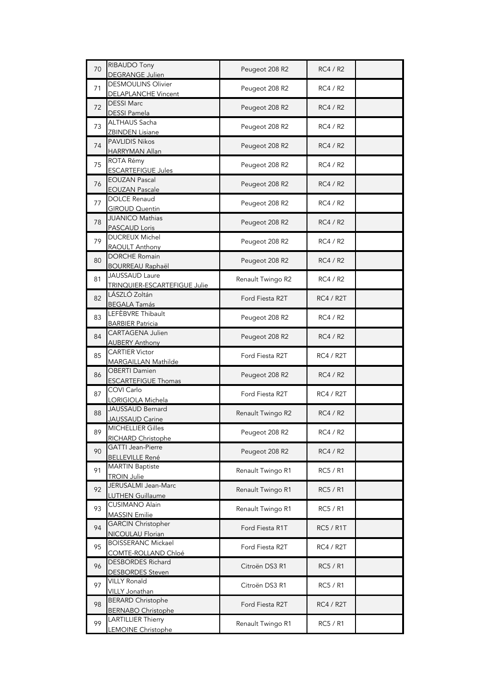| 70 | RIBAUDO Tony                                           | Peugeot 208 R2    | <b>RC4 / R2</b>  |
|----|--------------------------------------------------------|-------------------|------------------|
|    | DEGRANGE Julien<br><b>DESMOULINS Olivier</b>           |                   |                  |
| 71 | DELAPLANCHE Vincent                                    | Peugeot 208 R2    | RC4 / R2         |
| 72 | <b>DESSI Marc</b><br><b>DESSI Pamela</b>               | Peugeot 208 R2    | RC4 / R2         |
| 73 | ALTHAUS Sacha<br><b>ZBINDEN Lisiane</b>                | Peugeot 208 R2    | RC4 / R2         |
| 74 | <b>PAVLIDIS Nikos</b><br><b>HARRYMAN Allan</b>         | Peugeot 208 R2    | RC4 / R2         |
| 75 | ROTA Rémy<br><b>ESCARTEFIGUE Jules</b>                 | Peugeot 208 R2    | RC4 / R2         |
| 76 | <b>EOUZAN Pascal</b><br><b>EOUZAN Pascale</b>          | Peugeot 208 R2    | RC4 / R2         |
| 77 | <b>DOLCE Renaud</b><br><b>GIROUD Quentin</b>           | Peugeot 208 R2    | RC4 / R2         |
| 78 | <b>JUANICO Mathias</b><br><b>PASCAUD Loris</b>         | Peugeot 208 R2    | RC4 / R2         |
| 79 | <b>DUCREUX Michel</b><br>RAOULT Anthony                | Peugeot 208 R2    | RC4 / R2         |
| 80 | <b>DORCHE Romain</b><br><b>BOURREAU Raphaël</b>        | Peugeot 208 R2    | RC4 / R2         |
| 81 | JAUSSAUD Laure<br>TRINQUIER-ESCARTEFIGUE Julie         | Renault Twingo R2 | RC4 / R2         |
| 82 | LÁSZLÓ Zoltán<br><b>BEGALA Tamás</b>                   | Ford Fiesta R2T   | <b>RC4 / R2T</b> |
| 83 | LEFÈBVRE Thibault<br><b>BARBIER Patricia</b>           | Peugeot 208 R2    | RC4 / R2         |
| 84 | CARTAGENA Julien<br><b>AUBERY Anthony</b>              | Peugeot 208 R2    | RC4 / R2         |
| 85 | <b>CARTIER Victor</b><br>MARGAILLAN Mathilde           | Ford Fiesta R2T   | <b>RC4 / R2T</b> |
| 86 | <b>OBERTI Damien</b><br><b>ESCARTEFIGUE Thomas</b>     | Peugeot 208 R2    | RC4 / R2         |
| 87 | COVI Carlo<br>LORIGIOLA Michela                        | Ford Fiesta R2T   | <b>RC4 / R2T</b> |
| 88 | JAUSSAUD Bernard<br>JAUSSAUD Carine                    | Renault Twingo R2 | RC4 / R2         |
| 89 | <b>MICHELLIER Gilles</b><br>RICHARD Christophe         | Peugeot 208 R2    | <b>RC4 / R2</b>  |
| 90 | GATTI Jean-Pierre<br><b>BELLEVILLE René</b>            | Peugeot 208 R2    | <b>RC4 / R2</b>  |
| 91 | <b>MARTIN Baptiste</b><br><b>TROIN Julie</b>           | Renault Twingo R1 | <b>RC5 / R1</b>  |
| 92 | JERUSALMI Jean-Marc<br><b>LUTHEN Guillaume</b>         | Renault Twingo R1 | <b>RC5 / R1</b>  |
| 93 | <b>CUSIMANO Alain</b><br><b>MASSIN Emilie</b>          | Renault Twingo R1 | RC5 / R1         |
| 94 | <b>GARCIN Christopher</b><br><b>NICOULAU Florian</b>   | Ford Fiesta R1T   | <b>RC5 / R1T</b> |
| 95 | <b>BOISSERANC Mickael</b><br>COMTE-ROLLAND Chloé       | Ford Fiesta R2T   | <b>RC4 / R2T</b> |
| 96 | DESBORDES Richard<br><b>DESBORDES</b> Steven           | Citroën DS3 R1    | <b>RC5 / R1</b>  |
| 97 | <b>VILLY Ronald</b><br>VILLY Jonathan                  | Citroën DS3 R1    | RC5 / R1         |
| 98 | <b>BERARD Christophe</b><br><b>BERNABO Christophe</b>  | Ford Fiesta R2T   | <b>RC4 / R2T</b> |
| 99 | <b>LARTILLIER Thierry</b><br><b>LEMOINE Christophe</b> | Renault Twingo R1 | RC5 / R1         |